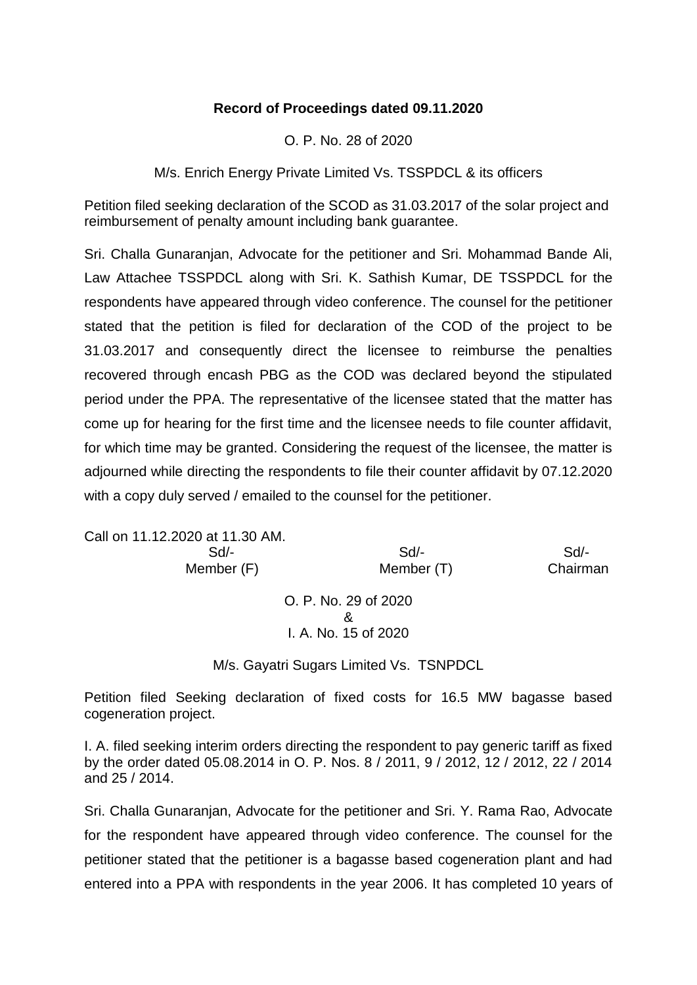## **Record of Proceedings dated 09.11.2020**

O. P. No. 28 of 2020

M/s. Enrich Energy Private Limited Vs. TSSPDCL & its officers

Petition filed seeking declaration of the SCOD as 31.03.2017 of the solar project and reimbursement of penalty amount including bank guarantee.

Sri. Challa Gunaranjan, Advocate for the petitioner and Sri. Mohammad Bande Ali, Law Attachee TSSPDCL along with Sri. K. Sathish Kumar, DE TSSPDCL for the respondents have appeared through video conference. The counsel for the petitioner stated that the petition is filed for declaration of the COD of the project to be 31.03.2017 and consequently direct the licensee to reimburse the penalties recovered through encash PBG as the COD was declared beyond the stipulated period under the PPA. The representative of the licensee stated that the matter has come up for hearing for the first time and the licensee needs to file counter affidavit, for which time may be granted. Considering the request of the licensee, the matter is adjourned while directing the respondents to file their counter affidavit by 07.12.2020 with a copy duly served / emailed to the counsel for the petitioner.

Call on 11.12.2020 at 11.30 AM. Sd/- Sd/- Sd/- Member (F) Member (T) Chairman O. P. No. 29 of 2020 & I. A. No. 15 of 2020

M/s. Gayatri Sugars Limited Vs. TSNPDCL

Petition filed Seeking declaration of fixed costs for 16.5 MW bagasse based cogeneration project.

I. A. filed seeking interim orders directing the respondent to pay generic tariff as fixed by the order dated 05.08.2014 in O. P. Nos. 8 / 2011, 9 / 2012, 12 / 2012, 22 / 2014 and 25 / 2014.

Sri. Challa Gunaranjan, Advocate for the petitioner and Sri. Y. Rama Rao, Advocate for the respondent have appeared through video conference. The counsel for the petitioner stated that the petitioner is a bagasse based cogeneration plant and had entered into a PPA with respondents in the year 2006. It has completed 10 years of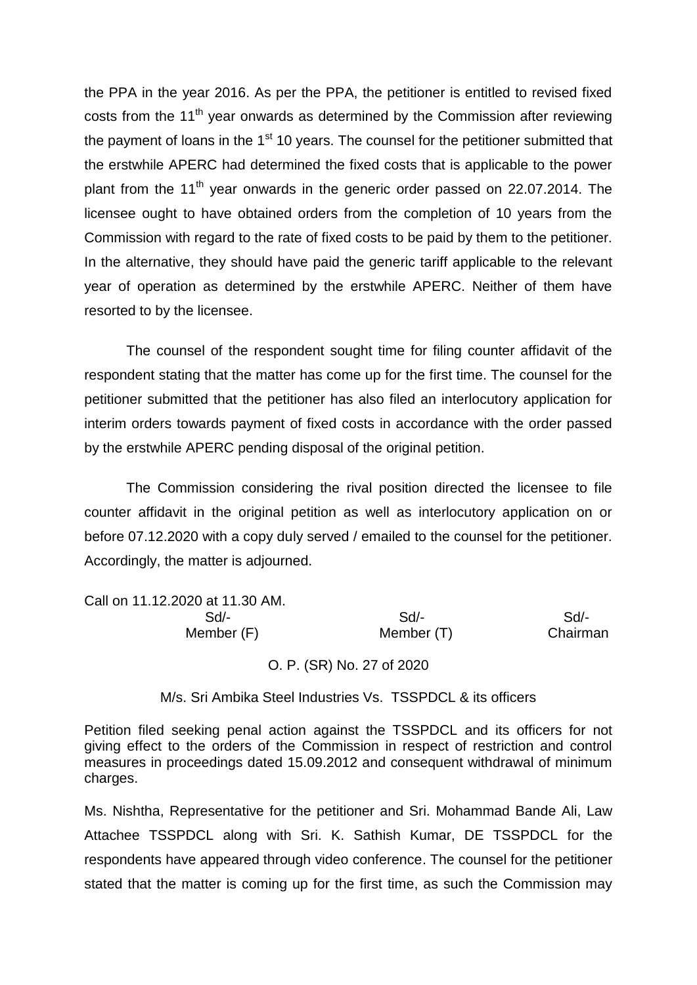the PPA in the year 2016. As per the PPA, the petitioner is entitled to revised fixed costs from the  $11<sup>th</sup>$  vear onwards as determined by the Commission after reviewing the payment of loans in the  $1<sup>st</sup> 10$  years. The counsel for the petitioner submitted that the erstwhile APERC had determined the fixed costs that is applicable to the power plant from the 11<sup>th</sup> year onwards in the generic order passed on 22.07.2014. The licensee ought to have obtained orders from the completion of 10 years from the Commission with regard to the rate of fixed costs to be paid by them to the petitioner. In the alternative, they should have paid the generic tariff applicable to the relevant year of operation as determined by the erstwhile APERC. Neither of them have resorted to by the licensee.

The counsel of the respondent sought time for filing counter affidavit of the respondent stating that the matter has come up for the first time. The counsel for the petitioner submitted that the petitioner has also filed an interlocutory application for interim orders towards payment of fixed costs in accordance with the order passed by the erstwhile APERC pending disposal of the original petition.

The Commission considering the rival position directed the licensee to file counter affidavit in the original petition as well as interlocutory application on or before 07.12.2020 with a copy duly served / emailed to the counsel for the petitioner. Accordingly, the matter is adjourned.

| Call on 11.12.2020 at 11.30 AM. |            |          |
|---------------------------------|------------|----------|
| Sd/-                            | Sd         | Sd/-     |
| Member (F)                      | Member (T) | Chairman |
|                                 |            |          |

## O. P. (SR) No. 27 of 2020

M/s. Sri Ambika Steel Industries Vs. TSSPDCL & its officers

Petition filed seeking penal action against the TSSPDCL and its officers for not giving effect to the orders of the Commission in respect of restriction and control measures in proceedings dated 15.09.2012 and consequent withdrawal of minimum charges.

Ms. Nishtha, Representative for the petitioner and Sri. Mohammad Bande Ali, Law Attachee TSSPDCL along with Sri. K. Sathish Kumar, DE TSSPDCL for the respondents have appeared through video conference. The counsel for the petitioner stated that the matter is coming up for the first time, as such the Commission may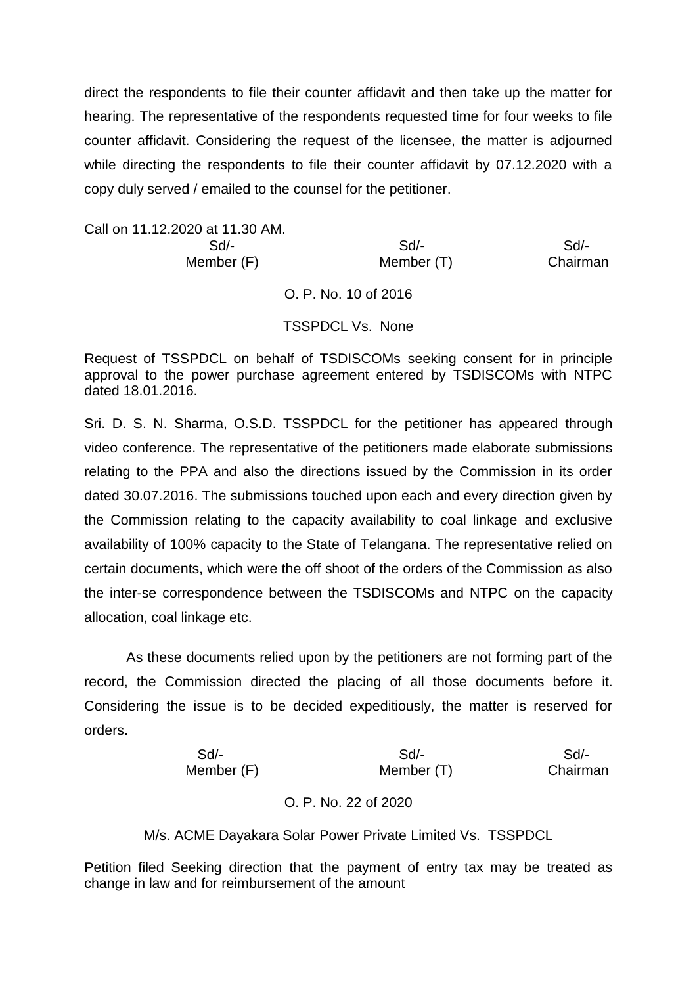direct the respondents to file their counter affidavit and then take up the matter for hearing. The representative of the respondents requested time for four weeks to file counter affidavit. Considering the request of the licensee, the matter is adjourned while directing the respondents to file their counter affidavit by 07.12.2020 with a copy duly served / emailed to the counsel for the petitioner.

Call on 11.12.2020 at 11.30 AM. Sd/- Sd/- Sd/- Member (F) Member (T) Chairman O. P. No. 10 of 2016 TSSPDCL Vs. None

Request of TSSPDCL on behalf of TSDISCOMs seeking consent for in principle approval to the power purchase agreement entered by TSDISCOMs with NTPC dated 18.01.2016.

Sri. D. S. N. Sharma, O.S.D. TSSPDCL for the petitioner has appeared through video conference. The representative of the petitioners made elaborate submissions relating to the PPA and also the directions issued by the Commission in its order dated 30.07.2016. The submissions touched upon each and every direction given by the Commission relating to the capacity availability to coal linkage and exclusive availability of 100% capacity to the State of Telangana. The representative relied on certain documents, which were the off shoot of the orders of the Commission as also the inter-se correspondence between the TSDISCOMs and NTPC on the capacity allocation, coal linkage etc.

As these documents relied upon by the petitioners are not forming part of the record, the Commission directed the placing of all those documents before it. Considering the issue is to be decided expeditiously, the matter is reserved for orders.

| $Sd$ -     | Sd/-       | Sd/-     |
|------------|------------|----------|
| Member (F) | Member (T) | Chairman |

O. P. No. 22 of 2020

M/s. ACME Dayakara Solar Power Private Limited Vs. TSSPDCL

Petition filed Seeking direction that the payment of entry tax may be treated as change in law and for reimbursement of the amount